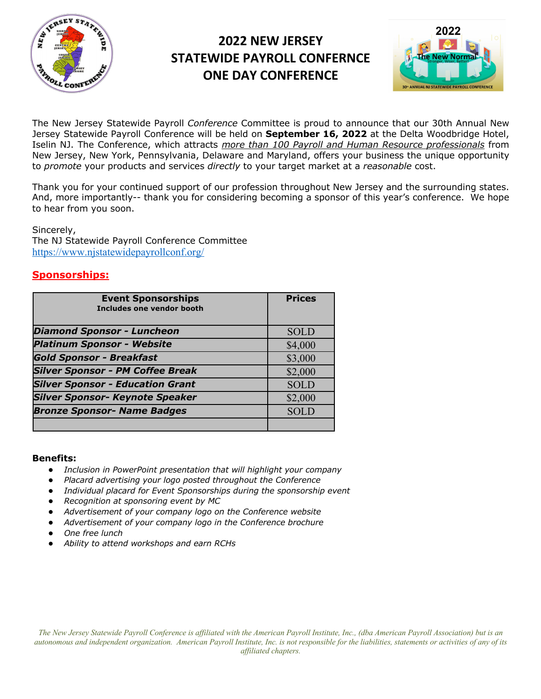

# **2022 NEW JERSEY STATEWIDE PAYROLL CONFERNCE ONE DAY CONFERENCE**



The New Jersey Statewide Payroll *Conference* Committee is proud to announce that our 30th Annual New Jersey Statewide Payroll Conference will be held on **September 16, 2022** at the Delta Woodbridge Hotel, Iselin NJ. The Conference, which attracts *more than 100 Payroll and Human Resource professionals* from New Jersey, New York, Pennsylvania, Delaware and Maryland, offers your business the unique opportunity to *promote* your products and services *directly* to your target market at a *reasonable* cost.

Thank you for your continued support of our profession throughout New Jersey and the surrounding states. And, more importantly-- thank you for considering becoming a sponsor of this year's conference. We hope to hear from you soon.

Sincerely, The NJ Statewide Payroll Conference Committee https://www.njstatewidepayrollconf.org/

## **Sponsorships:**

| <b>Event Sponsorships</b><br>Includes one vendor booth | <b>Prices</b> |
|--------------------------------------------------------|---------------|
| <b>Diamond Sponsor - Luncheon</b>                      | <b>SOLD</b>   |
| <b>Platinum Sponsor - Website</b>                      | \$4,000       |
| <b>Gold Sponsor - Breakfast</b>                        | \$3,000       |
| <b>Silver Sponsor - PM Coffee Break</b>                | \$2,000       |
| <b>Silver Sponsor - Education Grant</b>                | <b>SOLD</b>   |
| <b>Silver Sponsor- Keynote Speaker</b>                 | \$2,000       |
| <b>Bronze Sponsor- Name Badges</b>                     | <b>SOLD</b>   |
|                                                        |               |

#### **Benefits:**

- *Inclusion in PowerPoint presentation that will highlight your company*
- Placard advertising your logo posted throughout the Conference
- Individual placard for Event Sponsorships during the sponsorship event
- *Recognition at sponsoring event by MC*
- Advertisement of your company logo on the Conference website
- Advertisement of your company logo in the Conference brochure
- *One free lunch*
- *Ability to attend workshops and earn RCHs*